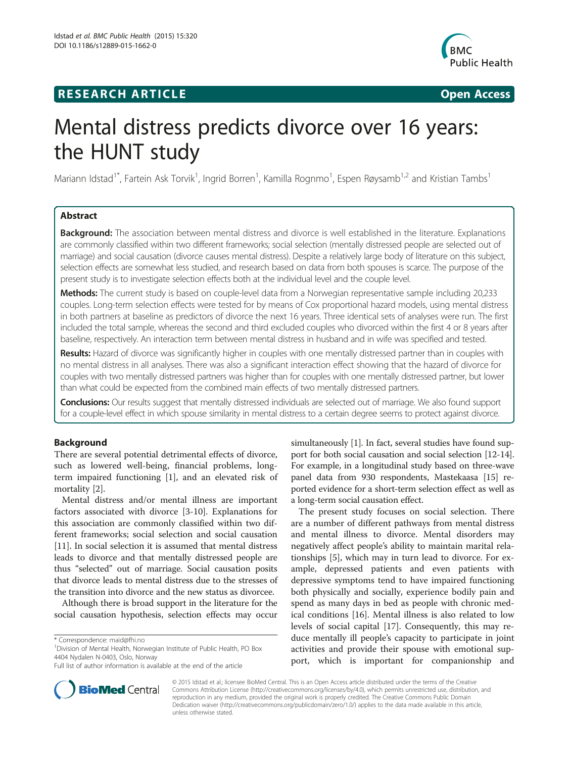# **RESEARCH ARTICLE Example 2014 CONSIDERING CONSIDERING CONSIDERING CONSIDERING CONSIDERING CONSIDERING CONSIDERING CONSIDERING CONSIDERING CONSIDERING CONSIDERING CONSIDERING CONSIDERING CONSIDERING CONSIDERING CONSIDE**



# Mental distress predicts divorce over 16 years: the HUNT study

Mariann Idstad<sup>1\*</sup>, Fartein Ask Torvik<sup>1</sup>, Ingrid Borren<sup>1</sup>, Kamilla Rognmo<sup>1</sup>, Espen Røysamb<sup>1,2</sup> and Kristian Tambs<sup>1</sup>

# Abstract

Background: The association between mental distress and divorce is well established in the literature. Explanations are commonly classified within two different frameworks; social selection (mentally distressed people are selected out of marriage) and social causation (divorce causes mental distress). Despite a relatively large body of literature on this subject, selection effects are somewhat less studied, and research based on data from both spouses is scarce. The purpose of the present study is to investigate selection effects both at the individual level and the couple level.

Methods: The current study is based on couple-level data from a Norwegian representative sample including 20,233 couples. Long-term selection effects were tested for by means of Cox proportional hazard models, using mental distress in both partners at baseline as predictors of divorce the next 16 years. Three identical sets of analyses were run. The first included the total sample, whereas the second and third excluded couples who divorced within the first 4 or 8 years after baseline, respectively. An interaction term between mental distress in husband and in wife was specified and tested.

Results: Hazard of divorce was significantly higher in couples with one mentally distressed partner than in couples with no mental distress in all analyses. There was also a significant interaction effect showing that the hazard of divorce for couples with two mentally distressed partners was higher than for couples with one mentally distressed partner, but lower than what could be expected from the combined main effects of two mentally distressed partners.

Conclusions: Our results suggest that mentally distressed individuals are selected out of marriage. We also found support for a couple-level effect in which spouse similarity in mental distress to a certain degree seems to protect against divorce.

### Background

There are several potential detrimental effects of divorce, such as lowered well-being, financial problems, longterm impaired functioning [\[1](#page-8-0)], and an elevated risk of mortality [\[2\]](#page-8-0).

Mental distress and/or mental illness are important factors associated with divorce [\[3-10](#page-9-0)]. Explanations for this association are commonly classified within two different frameworks; social selection and social causation [[11\]](#page-9-0). In social selection it is assumed that mental distress leads to divorce and that mentally distressed people are thus "selected" out of marriage. Social causation posits that divorce leads to mental distress due to the stresses of the transition into divorce and the new status as divorcee.

Although there is broad support in the literature for the social causation hypothesis, selection effects may occur



The present study focuses on social selection. There are a number of different pathways from mental distress and mental illness to divorce. Mental disorders may negatively affect people's ability to maintain marital relationships [\[5\]](#page-9-0), which may in turn lead to divorce. For example, depressed patients and even patients with depressive symptoms tend to have impaired functioning both physically and socially, experience bodily pain and spend as many days in bed as people with chronic medical conditions [[16](#page-9-0)]. Mental illness is also related to low levels of social capital [[17\]](#page-9-0). Consequently, this may reduce mentally ill people's capacity to participate in joint activities and provide their spouse with emotional support, which is important for companionship and



© 2015 Idstad et al.; licensee BioMed Central. This is an Open Access article distributed under the terms of the Creative Commons Attribution License [\(http://creativecommons.org/licenses/by/4.0\)](http://creativecommons.org/licenses/by/4.0), which permits unrestricted use, distribution, and reproduction in any medium, provided the original work is properly credited. The Creative Commons Public Domain Dedication waiver [\(http://creativecommons.org/publicdomain/zero/1.0/](http://creativecommons.org/publicdomain/zero/1.0/)) applies to the data made available in this article, unless otherwise stated.

<sup>\*</sup> Correspondence: [maid@fhi.no](mailto:maid@fhi.no) <sup>1</sup>

<sup>&</sup>lt;sup>1</sup> Division of Mental Health, Norwegian Institute of Public Health, PO Box 4404 Nydalen N-0403, Oslo, Norway

Full list of author information is available at the end of the article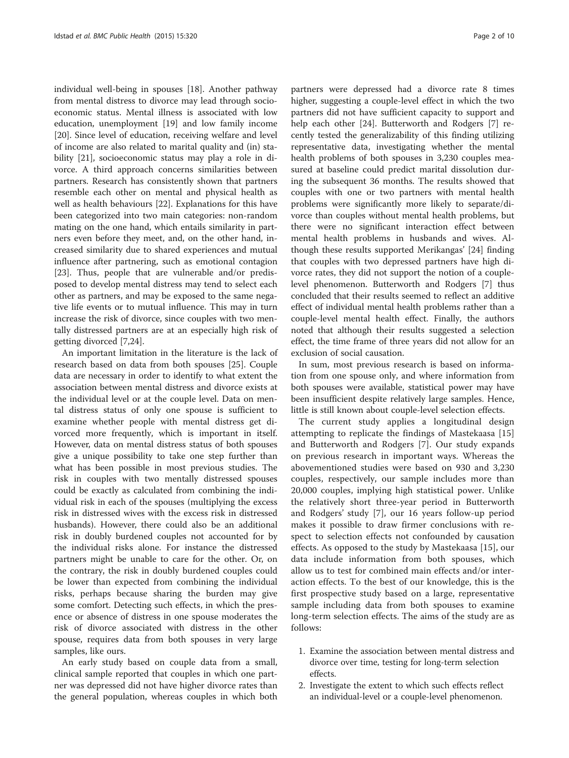individual well-being in spouses [[18\]](#page-9-0). Another pathway from mental distress to divorce may lead through socioeconomic status. Mental illness is associated with low education, unemployment [\[19](#page-9-0)] and low family income [[20\]](#page-9-0). Since level of education, receiving welfare and level of income are also related to marital quality and (in) stability [\[21](#page-9-0)], socioeconomic status may play a role in divorce. A third approach concerns similarities between partners. Research has consistently shown that partners resemble each other on mental and physical health as well as health behaviours [[22\]](#page-9-0). Explanations for this have been categorized into two main categories: non-random mating on the one hand, which entails similarity in partners even before they meet, and, on the other hand, increased similarity due to shared experiences and mutual influence after partnering, such as emotional contagion [[23\]](#page-9-0). Thus, people that are vulnerable and/or predisposed to develop mental distress may tend to select each other as partners, and may be exposed to the same negative life events or to mutual influence. This may in turn increase the risk of divorce, since couples with two mentally distressed partners are at an especially high risk of getting divorced [[7,24\]](#page-9-0).

An important limitation in the literature is the lack of research based on data from both spouses [\[25](#page-9-0)]. Couple data are necessary in order to identify to what extent the association between mental distress and divorce exists at the individual level or at the couple level. Data on mental distress status of only one spouse is sufficient to examine whether people with mental distress get divorced more frequently, which is important in itself. However, data on mental distress status of both spouses give a unique possibility to take one step further than what has been possible in most previous studies. The risk in couples with two mentally distressed spouses could be exactly as calculated from combining the individual risk in each of the spouses (multiplying the excess risk in distressed wives with the excess risk in distressed husbands). However, there could also be an additional risk in doubly burdened couples not accounted for by the individual risks alone. For instance the distressed partners might be unable to care for the other. Or, on the contrary, the risk in doubly burdened couples could be lower than expected from combining the individual risks, perhaps because sharing the burden may give some comfort. Detecting such effects, in which the presence or absence of distress in one spouse moderates the risk of divorce associated with distress in the other spouse, requires data from both spouses in very large samples, like ours.

An early study based on couple data from a small, clinical sample reported that couples in which one partner was depressed did not have higher divorce rates than the general population, whereas couples in which both

partners were depressed had a divorce rate 8 times higher, suggesting a couple-level effect in which the two partners did not have sufficient capacity to support and help each other [[24](#page-9-0)]. Butterworth and Rodgers [\[7](#page-9-0)] recently tested the generalizability of this finding utilizing representative data, investigating whether the mental health problems of both spouses in 3,230 couples measured at baseline could predict marital dissolution during the subsequent 36 months. The results showed that couples with one or two partners with mental health problems were significantly more likely to separate/divorce than couples without mental health problems, but there were no significant interaction effect between mental health problems in husbands and wives. Although these results supported Merikangas' [\[24](#page-9-0)] finding that couples with two depressed partners have high divorce rates, they did not support the notion of a couplelevel phenomenon. Butterworth and Rodgers [\[7](#page-9-0)] thus concluded that their results seemed to reflect an additive effect of individual mental health problems rather than a couple-level mental health effect. Finally, the authors noted that although their results suggested a selection effect, the time frame of three years did not allow for an exclusion of social causation.

In sum, most previous research is based on information from one spouse only, and where information from both spouses were available, statistical power may have been insufficient despite relatively large samples. Hence, little is still known about couple-level selection effects.

The current study applies a longitudinal design attempting to replicate the findings of Mastekaasa [\[15](#page-9-0)] and Butterworth and Rodgers [\[7](#page-9-0)]. Our study expands on previous research in important ways. Whereas the abovementioned studies were based on 930 and 3,230 couples, respectively, our sample includes more than 20,000 couples, implying high statistical power. Unlike the relatively short three-year period in Butterworth and Rodgers' study [[7\]](#page-9-0), our 16 years follow-up period makes it possible to draw firmer conclusions with respect to selection effects not confounded by causation effects. As opposed to the study by Mastekaasa [[15\]](#page-9-0), our data include information from both spouses, which allow us to test for combined main effects and/or interaction effects. To the best of our knowledge, this is the first prospective study based on a large, representative sample including data from both spouses to examine long-term selection effects. The aims of the study are as follows:

- 1. Examine the association between mental distress and divorce over time, testing for long-term selection effects.
- 2. Investigate the extent to which such effects reflect an individual-level or a couple-level phenomenon.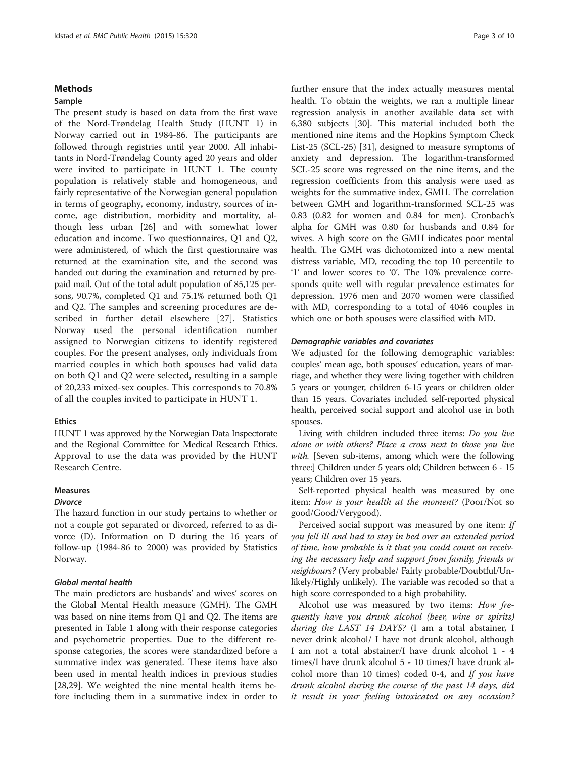#### **Methods**

# Sample

The present study is based on data from the first wave of the Nord-Trøndelag Health Study (HUNT 1) in Norway carried out in 1984-86. The participants are followed through registries until year 2000. All inhabitants in Nord-Trøndelag County aged 20 years and older were invited to participate in HUNT 1. The county population is relatively stable and homogeneous, and fairly representative of the Norwegian general population in terms of geography, economy, industry, sources of income, age distribution, morbidity and mortality, although less urban [\[26](#page-9-0)] and with somewhat lower education and income. Two questionnaires, Q1 and Q2, were administered, of which the first questionnaire was returned at the examination site, and the second was handed out during the examination and returned by prepaid mail. Out of the total adult population of 85,125 persons, 90.7%, completed Q1 and 75.1% returned both Q1 and Q2. The samples and screening procedures are described in further detail elsewhere [\[27](#page-9-0)]. Statistics Norway used the personal identification number assigned to Norwegian citizens to identify registered couples. For the present analyses, only individuals from married couples in which both spouses had valid data on both Q1 and Q2 were selected, resulting in a sample of 20,233 mixed-sex couples. This corresponds to 70.8% of all the couples invited to participate in HUNT 1.

#### Ethics

HUNT 1 was approved by the Norwegian Data Inspectorate and the Regional Committee for Medical Research Ethics. Approval to use the data was provided by the HUNT Research Centre.

#### Measures

#### **Divorce**

The hazard function in our study pertains to whether or not a couple got separated or divorced, referred to as divorce (D). Information on D during the 16 years of follow-up (1984-86 to 2000) was provided by Statistics Norway.

#### Global mental health

The main predictors are husbands' and wives' scores on the Global Mental Health measure (GMH). The GMH was based on nine items from Q1 and Q2. The items are presented in Table [1](#page-3-0) along with their response categories and psychometric properties. Due to the different response categories, the scores were standardized before a summative index was generated. These items have also been used in mental health indices in previous studies [[28,29\]](#page-9-0). We weighted the nine mental health items before including them in a summative index in order to further ensure that the index actually measures mental health. To obtain the weights, we ran a multiple linear regression analysis in another available data set with 6,380 subjects [[30](#page-9-0)]. This material included both the mentioned nine items and the Hopkins Symptom Check List-25 (SCL-25) [\[31](#page-9-0)], designed to measure symptoms of anxiety and depression. The logarithm-transformed SCL-25 score was regressed on the nine items, and the regression coefficients from this analysis were used as weights for the summative index, GMH. The correlation between GMH and logarithm-transformed SCL-25 was 0.83 (0.82 for women and 0.84 for men). Cronbach's alpha for GMH was 0.80 for husbands and 0.84 for wives. A high score on the GMH indicates poor mental health. The GMH was dichotomized into a new mental distress variable, MD, recoding the top 10 percentile to '1' and lower scores to '0'. The 10% prevalence corresponds quite well with regular prevalence estimates for depression. 1976 men and 2070 women were classified with MD, corresponding to a total of 4046 couples in which one or both spouses were classified with MD.

#### Demographic variables and covariates

We adjusted for the following demographic variables: couples' mean age, both spouses' education, years of marriage, and whether they were living together with children 5 years or younger, children 6-15 years or children older than 15 years. Covariates included self-reported physical health, perceived social support and alcohol use in both spouses.

Living with children included three items: Do you live alone or with others? Place a cross next to those you live with. [Seven sub-items, among which were the following three:] Children under 5 years old; Children between 6 - 15 years; Children over 15 years.

Self-reported physical health was measured by one item: How is your health at the moment? (Poor/Not so good/Good/Verygood).

Perceived social support was measured by one item: If you fell ill and had to stay in bed over an extended period of time, how probable is it that you could count on receiving the necessary help and support from family, friends or neighbours? (Very probable/ Fairly probable/Doubtful/Unlikely/Highly unlikely). The variable was recoded so that a high score corresponded to a high probability.

Alcohol use was measured by two items: How frequently have you drunk alcohol (beer, wine or spirits) during the LAST 14 DAYS? (I am a total abstainer, I never drink alcohol/ I have not drunk alcohol, although I am not a total abstainer/I have drunk alcohol 1 - 4 times/I have drunk alcohol 5 - 10 times/I have drunk alcohol more than 10 times) coded 0-4, and If you have drunk alcohol during the course of the past 14 days, did it result in your feeling intoxicated on any occasion?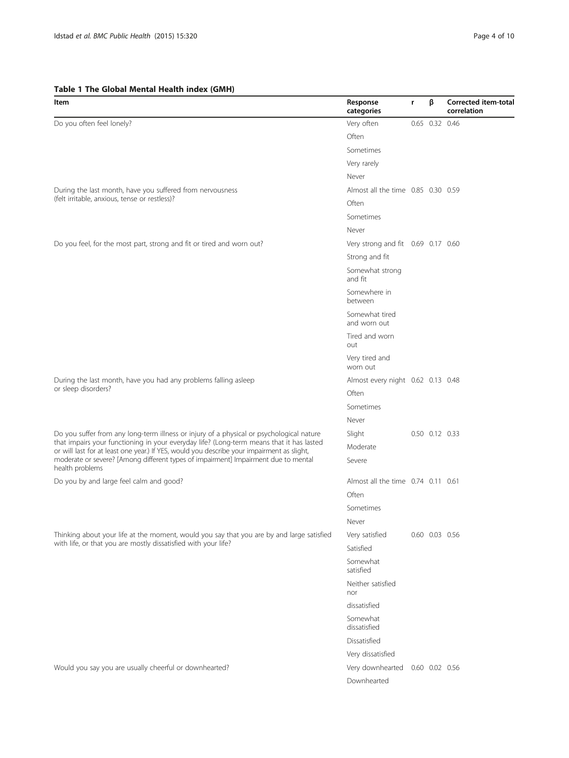# <span id="page-3-0"></span>Table 1 The Global Mental Health index (GMH)

| Do you often feel lonely?                                                                                                                                                              | Very often                         |  | 0.65 0.32 0.46       |  |
|----------------------------------------------------------------------------------------------------------------------------------------------------------------------------------------|------------------------------------|--|----------------------|--|
|                                                                                                                                                                                        | Often                              |  |                      |  |
|                                                                                                                                                                                        | Sometimes                          |  |                      |  |
|                                                                                                                                                                                        | Very rarely                        |  |                      |  |
|                                                                                                                                                                                        | Never                              |  |                      |  |
| During the last month, have you suffered from nervousness                                                                                                                              | Almost all the time 0.85 0.30 0.59 |  |                      |  |
| (felt irritable, anxious, tense or restless)?                                                                                                                                          | Often                              |  |                      |  |
|                                                                                                                                                                                        | Sometimes                          |  |                      |  |
|                                                                                                                                                                                        | Never                              |  |                      |  |
| Do you feel, for the most part, strong and fit or tired and worn out?                                                                                                                  | Very strong and fit 0.69 0.17 0.60 |  |                      |  |
|                                                                                                                                                                                        | Strong and fit                     |  |                      |  |
|                                                                                                                                                                                        | Somewhat strong<br>and fit         |  |                      |  |
|                                                                                                                                                                                        | Somewhere in<br>between            |  |                      |  |
| Somewhat tired<br>and worn out                                                                                                                                                         |                                    |  |                      |  |
|                                                                                                                                                                                        | Tired and worn<br>out              |  |                      |  |
|                                                                                                                                                                                        | Very tired and<br>worn out         |  |                      |  |
| During the last month, have you had any problems falling asleep<br>or sleep disorders?                                                                                                 | Almost every night 0.62 0.13 0.48  |  |                      |  |
|                                                                                                                                                                                        | Often                              |  |                      |  |
|                                                                                                                                                                                        | Sometimes                          |  |                      |  |
|                                                                                                                                                                                        | Never                              |  |                      |  |
| Do you suffer from any long-term illness or injury of a physical or psychological nature                                                                                               | Slight                             |  | 0.50 0.12 0.33       |  |
| that impairs your functioning in your everyday life? (Long-term means that it has lasted<br>or will last for at least one year.) If YES, would you describe your impairment as slight, | Moderate                           |  |                      |  |
| moderate or severe? [Among different types of impairment] Impairment due to mental<br>health problems                                                                                  | Severe                             |  |                      |  |
| Do you by and large feel calm and good?                                                                                                                                                | Almost all the time 0.74 0.11 0.61 |  |                      |  |
|                                                                                                                                                                                        | Often                              |  |                      |  |
|                                                                                                                                                                                        | Sometimes                          |  |                      |  |
|                                                                                                                                                                                        | Never                              |  |                      |  |
| Thinking about your life at the moment, would you say that you are by and large satisfied                                                                                              | Very satisfied                     |  | $0.60$ $0.03$ $0.56$ |  |
| with life, or that you are mostly dissatisfied with your life?                                                                                                                         | Satisfied                          |  |                      |  |
|                                                                                                                                                                                        | Somewhat<br>satisfied              |  |                      |  |
|                                                                                                                                                                                        | Neither satisfied<br>nor           |  |                      |  |
|                                                                                                                                                                                        | dissatisfied                       |  |                      |  |
|                                                                                                                                                                                        | Somewhat<br>dissatisfied           |  |                      |  |
|                                                                                                                                                                                        | Dissatisfied                       |  |                      |  |
|                                                                                                                                                                                        | Very dissatisfied                  |  |                      |  |
| Would you say you are usually cheerful or downhearted?                                                                                                                                 | Very downhearted                   |  | 0.60 0.02 0.56       |  |
|                                                                                                                                                                                        | Downhearted                        |  |                      |  |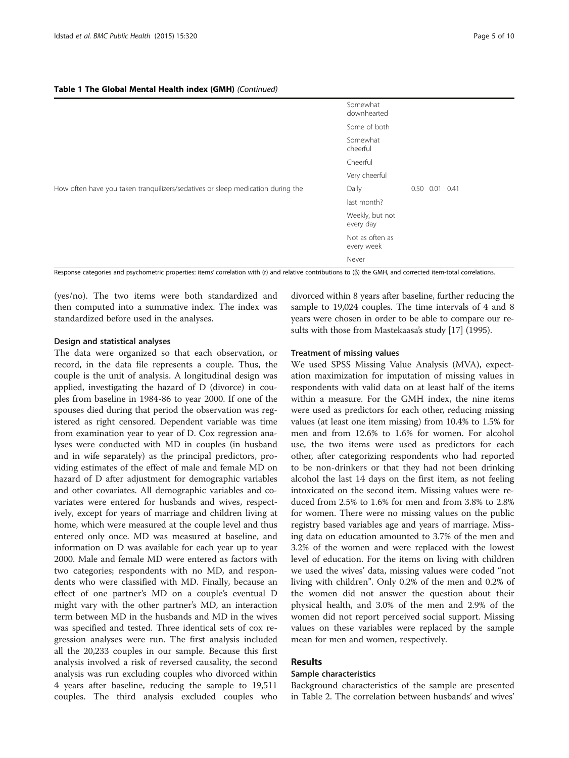|                                                                                 | Somewhat<br>downhearted       |                |
|---------------------------------------------------------------------------------|-------------------------------|----------------|
|                                                                                 | Some of both                  |                |
|                                                                                 | Somewhat<br>cheerful          |                |
|                                                                                 | Cheerful                      |                |
|                                                                                 | Very cheerful                 |                |
| How often have you taken tranguilizers/sedatives or sleep medication during the | Daily                         | 0.50 0.01 0.41 |
|                                                                                 | last month?                   |                |
|                                                                                 | Weekly, but not<br>every day  |                |
|                                                                                 | Not as often as<br>every week |                |
|                                                                                 | Never                         |                |

Response categories and psychometric properties: items' correlation with (r) and relative contributions to (β) the GMH, and corrected item-total correlations.

(yes/no). The two items were both standardized and then computed into a summative index. The index was standardized before used in the analyses.

divorced within 8 years after baseline, further reducing the sample to 19,024 couples. The time intervals of 4 and 8 years were chosen in order to be able to compare our results with those from Mastekaasa's study [\[17](#page-9-0)] (1995).

#### Design and statistical analyses

The data were organized so that each observation, or record, in the data file represents a couple. Thus, the couple is the unit of analysis. A longitudinal design was applied, investigating the hazard of D (divorce) in couples from baseline in 1984-86 to year 2000. If one of the spouses died during that period the observation was registered as right censored. Dependent variable was time from examination year to year of D. Cox regression analyses were conducted with MD in couples (in husband and in wife separately) as the principal predictors, providing estimates of the effect of male and female MD on hazard of D after adjustment for demographic variables and other covariates. All demographic variables and covariates were entered for husbands and wives, respectively, except for years of marriage and children living at home, which were measured at the couple level and thus entered only once. MD was measured at baseline, and information on D was available for each year up to year 2000. Male and female MD were entered as factors with two categories; respondents with no MD, and respondents who were classified with MD. Finally, because an effect of one partner's MD on a couple's eventual D might vary with the other partner's MD, an interaction term between MD in the husbands and MD in the wives was specified and tested. Three identical sets of cox regression analyses were run. The first analysis included all the 20,233 couples in our sample. Because this first analysis involved a risk of reversed causality, the second analysis was run excluding couples who divorced within 4 years after baseline, reducing the sample to 19,511 couples. The third analysis excluded couples who

#### Treatment of missing values

We used SPSS Missing Value Analysis (MVA), expectation maximization for imputation of missing values in respondents with valid data on at least half of the items within a measure. For the GMH index, the nine items were used as predictors for each other, reducing missing values (at least one item missing) from 10.4% to 1.5% for men and from 12.6% to 1.6% for women. For alcohol use, the two items were used as predictors for each other, after categorizing respondents who had reported to be non-drinkers or that they had not been drinking alcohol the last 14 days on the first item, as not feeling intoxicated on the second item. Missing values were reduced from 2.5% to 1.6% for men and from 3.8% to 2.8% for women. There were no missing values on the public registry based variables age and years of marriage. Missing data on education amounted to 3.7% of the men and 3.2% of the women and were replaced with the lowest level of education. For the items on living with children we used the wives' data, missing values were coded "not living with children". Only 0.2% of the men and 0.2% of the women did not answer the question about their physical health, and 3.0% of the men and 2.9% of the women did not report perceived social support. Missing values on these variables were replaced by the sample mean for men and women, respectively.

### Results

#### Sample characteristics

Background characteristics of the sample are presented in Table [2.](#page-5-0) The correlation between husbands' and wives'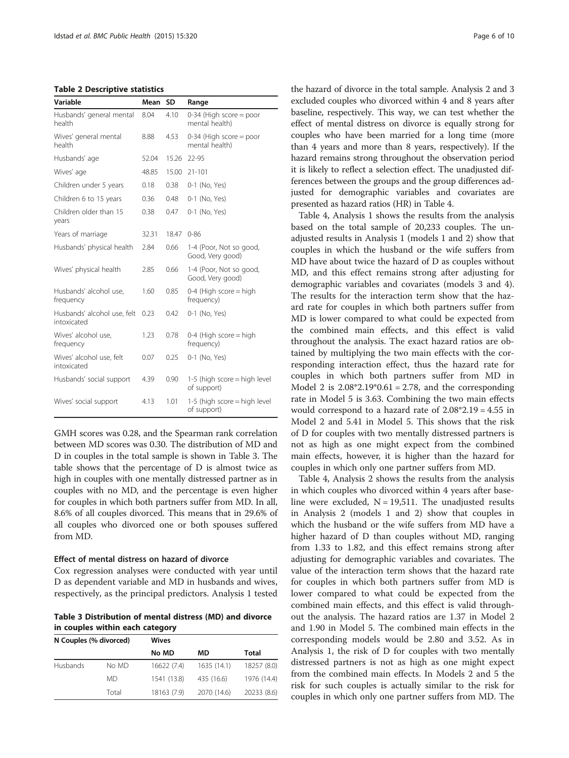<span id="page-5-0"></span>Table 2 Descriptive statistics

| Variable                                   | Mean  | <b>SD</b> | Range                                       |
|--------------------------------------------|-------|-----------|---------------------------------------------|
| Husbands' general mental<br>health         | 8.04  | 4.10      | $0-34$ (High score = poor<br>mental health) |
| Wives' general mental<br>health            | 8.88  | 4.53      | $0-34$ (High score = poor<br>mental health) |
| Husbands' age                              | 52.04 | 15.26     | 22-95                                       |
| Wives' age                                 | 48.85 | 15.00     | $21 - 101$                                  |
| Children under 5 years                     | 0.18  | 0.38      | 0-1 (No, Yes)                               |
| Children 6 to 15 years                     | 0.36  | 0.48      | 0-1 (No, Yes)                               |
| Children older than 15<br>years            | 0.38  | 0.47      | 0-1 (No, Yes)                               |
| Years of marriage                          | 32.31 | 18.47     | $0 - 86$                                    |
| Husbands' physical health                  | 2.84  | 0.66      | 1-4 (Poor, Not so good,<br>Good, Very good) |
| Wives' physical health                     | 2.85  | 0.66      | 1-4 (Poor, Not so good,<br>Good, Very good) |
| Husbands' alcohol use.<br>frequency        | 1.60  | 0.85      | 0-4 (High score = high<br>frequency)        |
| Husbands' alcohol use, felt<br>intoxicated | 0.23  | 0.42      | 0-1 (No, Yes)                               |
| Wives' alcohol use,<br>frequency           | 1.23  | 0.78      | 0-4 (High score = high<br>frequency)        |
| Wives' alcohol use, felt<br>intoxicated    | 0.07  | 0.25      | 0-1 (No, Yes)                               |
| Husbands' social support                   | 4.39  | 0.90      | 1-5 (high score = high level<br>of support) |
| Wives' social support                      | 4.13  | 1.01      | 1-5 (high score = high level<br>of support) |

GMH scores was 0.28, and the Spearman rank correlation between MD scores was 0.30. The distribution of MD and D in couples in the total sample is shown in Table 3. The table shows that the percentage of D is almost twice as high in couples with one mentally distressed partner as in couples with no MD, and the percentage is even higher for couples in which both partners suffer from MD. In all, 8.6% of all couples divorced. This means that in 29.6% of all couples who divorced one or both spouses suffered from MD.

#### Effect of mental distress on hazard of divorce

Cox regression analyses were conducted with year until D as dependent variable and MD in husbands and wives, respectively, as the principal predictors. Analysis 1 tested

Table 3 Distribution of mental distress (MD) and divorce in couples within each category

| N Couples (% divorced) |       | Wives       |             |             |  |  |  |  |
|------------------------|-------|-------------|-------------|-------------|--|--|--|--|
|                        |       | No MD       | МD          | Total       |  |  |  |  |
| Husbands               | No MD | 16622 (7.4) | 1635 (14.1) | 18257 (8.0) |  |  |  |  |
|                        | МD    | 1541 (13.8) | 435 (16.6)  | 1976 (14.4) |  |  |  |  |
|                        | Total | 18163 (7.9) | 2070 (14.6) | 20233 (8.6) |  |  |  |  |

the hazard of divorce in the total sample. Analysis 2 and 3 excluded couples who divorced within 4 and 8 years after baseline, respectively. This way, we can test whether the effect of mental distress on divorce is equally strong for couples who have been married for a long time (more than 4 years and more than 8 years, respectively). If the hazard remains strong throughout the observation period it is likely to reflect a selection effect. The unadjusted differences between the groups and the group differences adjusted for demographic variables and covariates are presented as hazard ratios (HR) in Table [4](#page-6-0).

Table [4,](#page-6-0) Analysis 1 shows the results from the analysis based on the total sample of 20,233 couples. The unadjusted results in Analysis 1 (models 1 and 2) show that couples in which the husband or the wife suffers from MD have about twice the hazard of D as couples without MD, and this effect remains strong after adjusting for demographic variables and covariates (models 3 and 4). The results for the interaction term show that the hazard rate for couples in which both partners suffer from MD is lower compared to what could be expected from the combined main effects, and this effect is valid throughout the analysis. The exact hazard ratios are obtained by multiplying the two main effects with the corresponding interaction effect, thus the hazard rate for couples in which both partners suffer from MD in Model 2 is  $2.08*2.19*0.61 = 2.78$ , and the corresponding rate in Model 5 is 3.63. Combining the two main effects would correspond to a hazard rate of  $2.08*2.19 = 4.55$  in Model 2 and 5.41 in Model 5. This shows that the risk of D for couples with two mentally distressed partners is not as high as one might expect from the combined main effects, however, it is higher than the hazard for couples in which only one partner suffers from MD.

Table [4,](#page-6-0) Analysis 2 shows the results from the analysis in which couples who divorced within 4 years after baseline were excluded,  $N = 19,511$ . The unadjusted results in Analysis 2 (models 1 and 2) show that couples in which the husband or the wife suffers from MD have a higher hazard of D than couples without MD, ranging from 1.33 to 1.82, and this effect remains strong after adjusting for demographic variables and covariates. The value of the interaction term shows that the hazard rate for couples in which both partners suffer from MD is lower compared to what could be expected from the combined main effects, and this effect is valid throughout the analysis. The hazard ratios are 1.37 in Model 2 and 1.90 in Model 5. The combined main effects in the corresponding models would be 2.80 and 3.52. As in Analysis 1, the risk of D for couples with two mentally distressed partners is not as high as one might expect from the combined main effects. In Models 2 and 5 the risk for such couples is actually similar to the risk for couples in which only one partner suffers from MD. The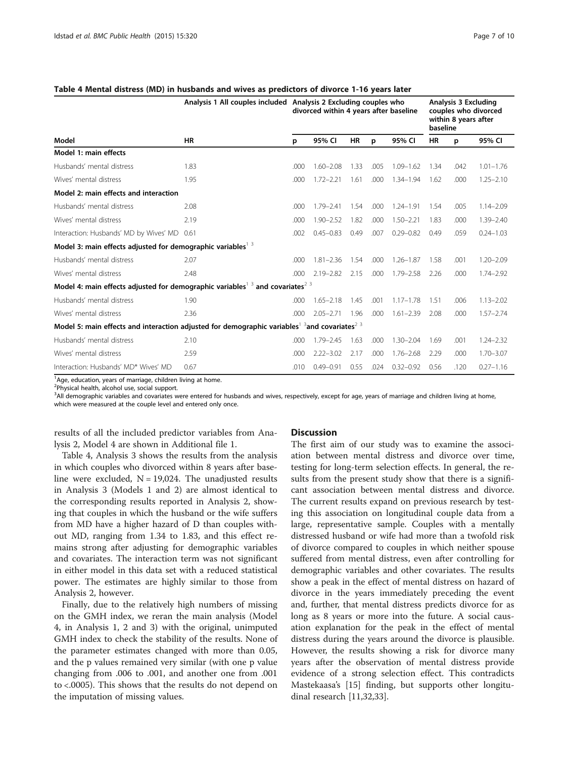|                                                                                                                     |           | Analysis 1 All couples included Analysis 2 Excluding couples who<br>divorced within 4 years after baseline |               |           |      | Analysis 3 Excluding<br>couples who divorced<br>within 8 years after<br>baseline |           |      |               |
|---------------------------------------------------------------------------------------------------------------------|-----------|------------------------------------------------------------------------------------------------------------|---------------|-----------|------|----------------------------------------------------------------------------------|-----------|------|---------------|
| Model                                                                                                               | <b>HR</b> | р                                                                                                          | 95% CI        | <b>HR</b> | p    | 95% CI                                                                           | <b>HR</b> | p    | 95% CI        |
| Model 1: main effects                                                                                               |           |                                                                                                            |               |           |      |                                                                                  |           |      |               |
| Husbands' mental distress                                                                                           | 1.83      | .000                                                                                                       | $1.60 - 2.08$ | 1.33      | .005 | $1.09 - 1.62$                                                                    | 1.34      | .042 | $1.01 - 1.76$ |
| Wives' mental distress                                                                                              | 1.95      | .000                                                                                                       | $1.72 - 2.21$ | 1.61      | .000 | $1.34 - 1.94$                                                                    | 1.62      | .000 | $1.25 - 2.10$ |
| Model 2: main effects and interaction                                                                               |           |                                                                                                            |               |           |      |                                                                                  |           |      |               |
| Husbands' mental distress                                                                                           | 2.08      | .000                                                                                                       | $1.79 - 2.41$ | 1.54      | .000 | $1.24 - 1.91$                                                                    | 1.54      | .005 | $1.14 - 2.09$ |
| Wives' mental distress                                                                                              | 2.19      | .000                                                                                                       | $1.90 - 2.52$ | 1.82      | .000 | $1.50 - 2.21$                                                                    | 1.83      | .000 | $1.39 - 2.40$ |
| Interaction: Husbands' MD by Wives' MD 0.61                                                                         |           | .002                                                                                                       | $0.45 - 0.83$ | 0.49      | .007 | $0.29 - 0.82$                                                                    | 0.49      | .059 | $0.24 - 1.03$ |
| Model 3: main effects adjusted for demographic variables <sup>13</sup>                                              |           |                                                                                                            |               |           |      |                                                                                  |           |      |               |
| Husbands' mental distress                                                                                           | 2.07      | .000                                                                                                       | $1.81 - 2.36$ | 1.54      | .000 | $1.26 - 1.87$                                                                    | 1.58      | .001 | $1.20 - 2.09$ |
| Wives' mental distress                                                                                              | 2.48      | .000                                                                                                       | $2.19 - 2.82$ | 2.15      | .000 | $1.79 - 2.58$                                                                    | 2.26      | .000 | $1.74 - 2.92$ |
| Model 4: main effects adjusted for demographic variables <sup>1,3</sup> and covariates <sup>2,3</sup>               |           |                                                                                                            |               |           |      |                                                                                  |           |      |               |
| Husbands' mental distress                                                                                           | 1.90      | .000                                                                                                       | $1.65 - 2.18$ | 1.45      | .001 | $1.17 - 1.78$                                                                    | 1.51      | .006 | $1.13 - 2.02$ |
| Wives' mental distress                                                                                              | 2.36      | .000                                                                                                       | $2.05 - 2.71$ | 1.96      | .000 | $1.61 - 2.39$                                                                    | 2.08      | .000 | $1.57 - 2.74$ |
| Model 5: main effects and interaction adjusted for demographic variables <sup>13</sup> and covariates <sup>23</sup> |           |                                                                                                            |               |           |      |                                                                                  |           |      |               |
| Husbands' mental distress                                                                                           | 2.10      | .000                                                                                                       | $1.79 - 2.45$ | 1.63      | .000 | $1.30 - 2.04$                                                                    | 1.69      | .001 | $1.24 - 2.32$ |
| Wives' mental distress                                                                                              | 2.59      | .000                                                                                                       | $2.22 - 3.02$ | 2.17      | .000 | $1.76 - 2.68$                                                                    | 2.29      | .000 | $1.70 - 3.07$ |
| Interaction: Husbands' MD* Wives' MD                                                                                | 0.67      | .010                                                                                                       | $0.49 - 0.91$ | 0.55      | .024 | $0.32 - 0.92$                                                                    | 0.56      | .120 | $0.27 - 1.16$ |

<span id="page-6-0"></span>

<sup>1</sup>Age, education, years of marriage, children living at home.

<sup>2</sup>Physical health, alcohol use, social support.

<sup>3</sup>All demographic variables and covariates were entered for husbands and wives, respectively, except for age, years of marriage and children living at home,

which were measured at the couple level and entered only once.

results of all the included predictor variables from Analysis 2, Model 4 are shown in Additional file [1.](#page-8-0)

Table 4, Analysis 3 shows the results from the analysis in which couples who divorced within 8 years after baseline were excluded,  $N = 19,024$ . The unadjusted results in Analysis 3 (Models 1 and 2) are almost identical to the corresponding results reported in Analysis 2, showing that couples in which the husband or the wife suffers from MD have a higher hazard of D than couples without MD, ranging from 1.34 to 1.83, and this effect remains strong after adjusting for demographic variables and covariates. The interaction term was not significant in either model in this data set with a reduced statistical power. The estimates are highly similar to those from Analysis 2, however.

Finally, due to the relatively high numbers of missing on the GMH index, we reran the main analysis (Model 4, in Analysis 1, 2 and 3) with the original, unimputed GMH index to check the stability of the results. None of the parameter estimates changed with more than 0.05, and the p values remained very similar (with one p value changing from .006 to .001, and another one from .001 to <.0005). This shows that the results do not depend on the imputation of missing values.

#### **Discussion**

The first aim of our study was to examine the association between mental distress and divorce over time, testing for long-term selection effects. In general, the results from the present study show that there is a significant association between mental distress and divorce. The current results expand on previous research by testing this association on longitudinal couple data from a large, representative sample. Couples with a mentally distressed husband or wife had more than a twofold risk of divorce compared to couples in which neither spouse suffered from mental distress, even after controlling for demographic variables and other covariates. The results show a peak in the effect of mental distress on hazard of divorce in the years immediately preceding the event and, further, that mental distress predicts divorce for as long as 8 years or more into the future. A social causation explanation for the peak in the effect of mental distress during the years around the divorce is plausible. However, the results showing a risk for divorce many years after the observation of mental distress provide evidence of a strong selection effect. This contradicts Mastekaasa's [[15\]](#page-9-0) finding, but supports other longitudinal research [\[11,32,33\]](#page-9-0).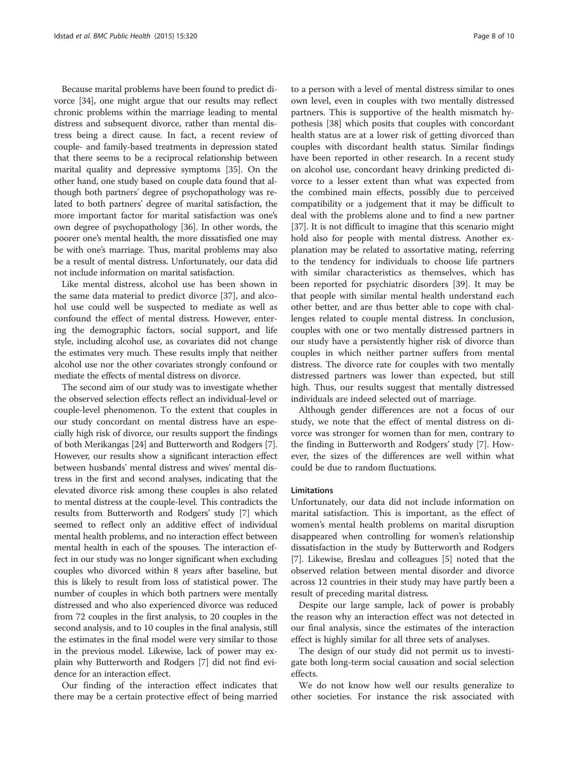Because marital problems have been found to predict divorce [\[34](#page-9-0)], one might argue that our results may reflect chronic problems within the marriage leading to mental distress and subsequent divorce, rather than mental distress being a direct cause. In fact, a recent review of couple- and family-based treatments in depression stated that there seems to be a reciprocal relationship between marital quality and depressive symptoms [\[35\]](#page-9-0). On the other hand, one study based on couple data found that although both partners' degree of psychopathology was related to both partners' degree of marital satisfaction, the more important factor for marital satisfaction was one's own degree of psychopathology [\[36\]](#page-9-0). In other words, the poorer one's mental health, the more dissatisfied one may be with one's marriage. Thus, marital problems may also be a result of mental distress. Unfortunately, our data did not include information on marital satisfaction.

Like mental distress, alcohol use has been shown in the same data material to predict divorce [[37\]](#page-9-0), and alcohol use could well be suspected to mediate as well as confound the effect of mental distress. However, entering the demographic factors, social support, and life style, including alcohol use, as covariates did not change the estimates very much. These results imply that neither alcohol use nor the other covariates strongly confound or mediate the effects of mental distress on divorce.

The second aim of our study was to investigate whether the observed selection effects reflect an individual-level or couple-level phenomenon. To the extent that couples in our study concordant on mental distress have an especially high risk of divorce, our results support the findings of both Merikangas [[24](#page-9-0)] and Butterworth and Rodgers [[7](#page-9-0)]. However, our results show a significant interaction effect between husbands' mental distress and wives' mental distress in the first and second analyses, indicating that the elevated divorce risk among these couples is also related to mental distress at the couple-level. This contradicts the results from Butterworth and Rodgers' study [[7](#page-9-0)] which seemed to reflect only an additive effect of individual mental health problems, and no interaction effect between mental health in each of the spouses. The interaction effect in our study was no longer significant when excluding couples who divorced within 8 years after baseline, but this is likely to result from loss of statistical power. The number of couples in which both partners were mentally distressed and who also experienced divorce was reduced from 72 couples in the first analysis, to 20 couples in the second analysis, and to 10 couples in the final analysis, still the estimates in the final model were very similar to those in the previous model. Likewise, lack of power may explain why Butterworth and Rodgers [[7](#page-9-0)] did not find evidence for an interaction effect.

Our finding of the interaction effect indicates that there may be a certain protective effect of being married

to a person with a level of mental distress similar to ones own level, even in couples with two mentally distressed partners. This is supportive of the health mismatch hypothesis [[38\]](#page-9-0) which posits that couples with concordant health status are at a lower risk of getting divorced than couples with discordant health status. Similar findings have been reported in other research. In a recent study on alcohol use, concordant heavy drinking predicted divorce to a lesser extent than what was expected from the combined main effects, possibly due to perceived compatibility or a judgement that it may be difficult to deal with the problems alone and to find a new partner [[37\]](#page-9-0). It is not difficult to imagine that this scenario might hold also for people with mental distress. Another explanation may be related to assortative mating, referring to the tendency for individuals to choose life partners with similar characteristics as themselves, which has been reported for psychiatric disorders [\[39](#page-9-0)]. It may be that people with similar mental health understand each other better, and are thus better able to cope with challenges related to couple mental distress. In conclusion, couples with one or two mentally distressed partners in our study have a persistently higher risk of divorce than couples in which neither partner suffers from mental distress. The divorce rate for couples with two mentally distressed partners was lower than expected, but still high. Thus, our results suggest that mentally distressed individuals are indeed selected out of marriage.

Although gender differences are not a focus of our study, we note that the effect of mental distress on divorce was stronger for women than for men, contrary to the finding in Butterworth and Rodgers' study [[7\]](#page-9-0). However, the sizes of the differences are well within what could be due to random fluctuations.

#### Limitations

Unfortunately, our data did not include information on marital satisfaction. This is important, as the effect of women's mental health problems on marital disruption disappeared when controlling for women's relationship dissatisfaction in the study by Butterworth and Rodgers [[7\]](#page-9-0). Likewise, Breslau and colleagues [[5\]](#page-9-0) noted that the observed relation between mental disorder and divorce across 12 countries in their study may have partly been a result of preceding marital distress.

Despite our large sample, lack of power is probably the reason why an interaction effect was not detected in our final analysis, since the estimates of the interaction effect is highly similar for all three sets of analyses.

The design of our study did not permit us to investigate both long-term social causation and social selection effects.

We do not know how well our results generalize to other societies. For instance the risk associated with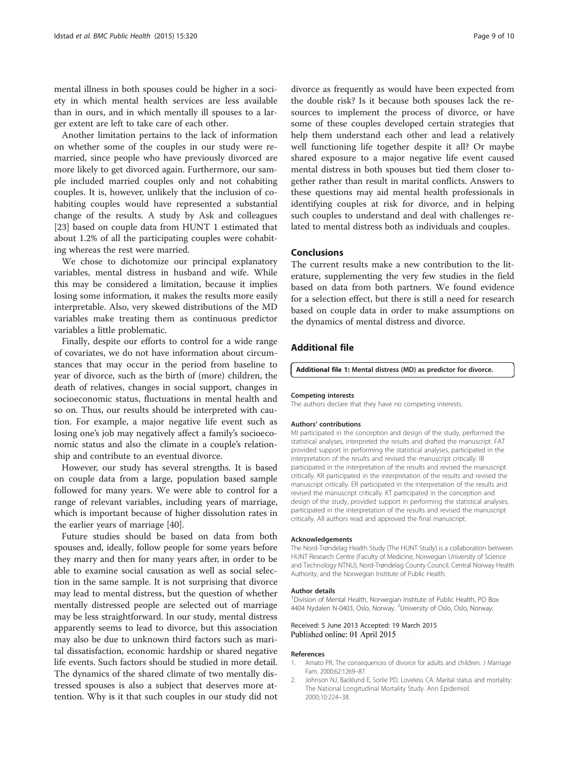<span id="page-8-0"></span>mental illness in both spouses could be higher in a society in which mental health services are less available than in ours, and in which mentally ill spouses to a larger extent are left to take care of each other.

Another limitation pertains to the lack of information on whether some of the couples in our study were remarried, since people who have previously divorced are more likely to get divorced again. Furthermore, our sample included married couples only and not cohabiting couples. It is, however, unlikely that the inclusion of cohabiting couples would have represented a substantial change of the results. A study by Ask and colleagues [[23\]](#page-9-0) based on couple data from HUNT 1 estimated that about 1.2% of all the participating couples were cohabiting whereas the rest were married.

We chose to dichotomize our principal explanatory variables, mental distress in husband and wife. While this may be considered a limitation, because it implies losing some information, it makes the results more easily interpretable. Also, very skewed distributions of the MD variables make treating them as continuous predictor variables a little problematic.

Finally, despite our efforts to control for a wide range of covariates, we do not have information about circumstances that may occur in the period from baseline to year of divorce, such as the birth of (more) children, the death of relatives, changes in social support, changes in socioeconomic status, fluctuations in mental health and so on. Thus, our results should be interpreted with caution. For example, a major negative life event such as losing one's job may negatively affect a family's socioeconomic status and also the climate in a couple's relationship and contribute to an eventual divorce.

However, our study has several strengths. It is based on couple data from a large, population based sample followed for many years. We were able to control for a range of relevant variables, including years of marriage, which is important because of higher dissolution rates in the earlier years of marriage [[40\]](#page-9-0).

Future studies should be based on data from both spouses and, ideally, follow people for some years before they marry and then for many years after, in order to be able to examine social causation as well as social selection in the same sample. It is not surprising that divorce may lead to mental distress, but the question of whether mentally distressed people are selected out of marriage may be less straightforward. In our study, mental distress apparently seems to lead to divorce, but this association may also be due to unknown third factors such as marital dissatisfaction, economic hardship or shared negative life events. Such factors should be studied in more detail. The dynamics of the shared climate of two mentally distressed spouses is also a subject that deserves more attention. Why is it that such couples in our study did not divorce as frequently as would have been expected from the double risk? Is it because both spouses lack the resources to implement the process of divorce, or have some of these couples developed certain strategies that help them understand each other and lead a relatively well functioning life together despite it all? Or maybe shared exposure to a major negative life event caused mental distress in both spouses but tied them closer together rather than result in marital conflicts. Answers to these questions may aid mental health professionals in identifying couples at risk for divorce, and in helping such couples to understand and deal with challenges related to mental distress both as individuals and couples.

# Conclusions

The current results make a new contribution to the literature, supplementing the very few studies in the field based on data from both partners. We found evidence for a selection effect, but there is still a need for research based on couple data in order to make assumptions on the dynamics of mental distress and divorce.

#### Additional file

[Additional file 1:](http://www.biomedcentral.com/content/supplementary/s12889-015-1662-0-s1.docx) Mental distress (MD) as predictor for divorce.

#### Competing interests

The authors declare that they have no competing interests.

#### Authors' contributions

MI participated in the conception and design of the study, performed the statistical analyses, interpreted the results and drafted the manuscript. FAT provided support in performing the statistical analyses, participated in the interpretation of the results and revised the manuscript critically. IB participated in the interpretation of the results and revised the manuscript critically. KR participated in the interpretation of the results and revised the manuscript critically. ER participated in the interpretation of the results and revised the manuscript critically. KT participated in the conception and design of the study, provided support in performing the statistical analyses, participated in the interpretation of the results and revised the manuscript critically. All authors read and approved the final manuscript.

#### Acknowledgements

The Nord-Trøndelag Health Study (The HUNT Study) is a collaboration between HUNT Research Centre (Faculty of Medicine, Norwegian University of Science and Technology NTNU), Nord-Trøndelag County Council, Central Norway Health Authority, and the Norwegian Institute of Public Health.

#### Author details

<sup>1</sup> Division of Mental Health, Norwegian Institute of Public Health, PO Box 4404 Nydalen N-0403, Oslo, Norway. <sup>2</sup>University of Oslo, Oslo, Norway.

#### Received: 5 June 2013 Accepted: 19 March 2015 Published online: 01 April 2015

#### References

- 1. Amato PR. The consequences of divorce for adults and children. J Marriage Fam. 2000;62:1269–87.
- 2. Johnson NJ, Backlund E, Sorlie PD, Loveless CA. Marital status and mortality: The National Longitudinal Mortality Study. Ann Epidemiol. 2000;10:224–38.